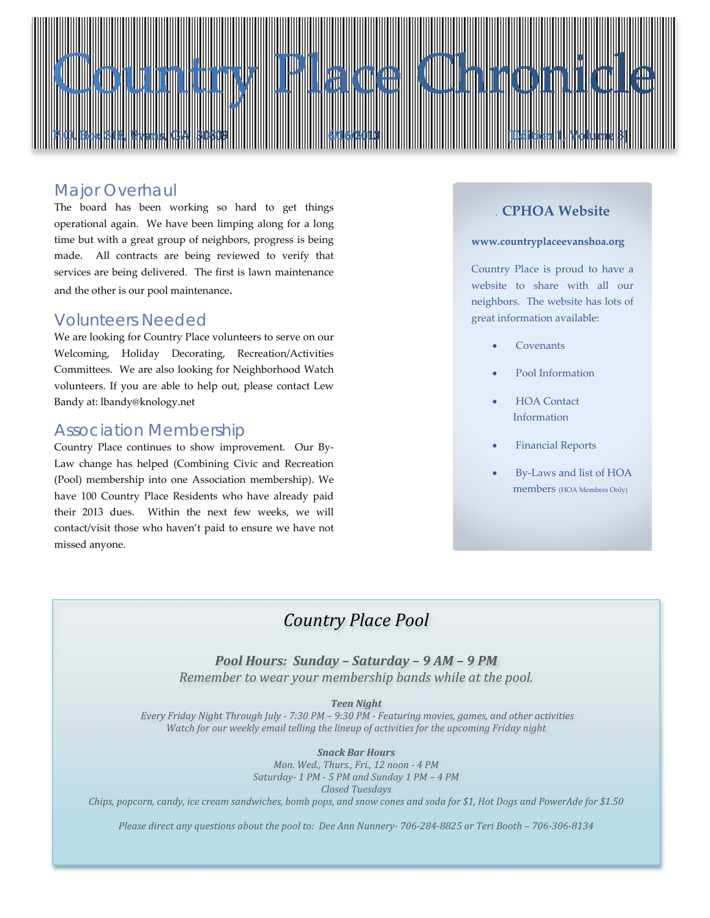

### *Major Overhaul*

The board has been working so hard to get things operational again. We have been limping along for a long time but with a great group of neighbors, progress is being made. All contracts are being reviewed to verify that services are being delivered. The first is lawn maintenance and the other is our pool maintenance.

### *Volunteers Needed*

We are looking for Country Place volunteers to serve on our Welcoming, Holiday Decorating, Recreation/Activities Committees. We are also looking for Neighborhood Watch volunteers. If you are able to help out, please contact Lew Bandy at: lbandy@knology.net

### *Association Membership*

Country Place continues to show improvement. Our By-Law change has helped (Combining Civic and Recreation (Pool) membership into one Association membership). We have 100 Country Place Residents who have already paid their 2013 dues. Within the next few weeks, we will contact/visit those who haven't paid to ensure we have not missed anyone.

### . **CPHOA Website**

#### **www.countryplaceevanshoa.org**

Country Place is proud to have a website to share with all our neighbors. The website has lots of great information available:

- **Covenants**
- Pool Information
- HOA Contact Information
- Financial Reports
- By-Laws and list of HOA members (HOA Members Only)

# *Country Place Pool*

*Pool Hours: Sunday – Saturday – 9 AM – 9 PM Remember to wear your membership bands while at the pool.*

#### *Teen Night*

*Every Friday Night Through July - 7:30 PM – 9:30 PM - Featuring movies, games, and other activities Watch for our weekly email telling the lineup of activities for the upcoming Friday night*

#### *Snack Bar Hours*

*Mon. Wed., Thurs., Fri., 12 noon - 4 PM Saturday- 1 PM - 5 PM and Sunday 1 PM – 4 PM Closed Tuesdays*

*Chips, popcorn, candy, ice cream sandwiches, bomb pops, and snow cones and soda for \$1, Hot Dogs and PowerAde for \$1.50*

*Please direct any questions about the pool to: Dee Ann Nunnery- 706-284-8825 or Teri Booth – 706-306-8134*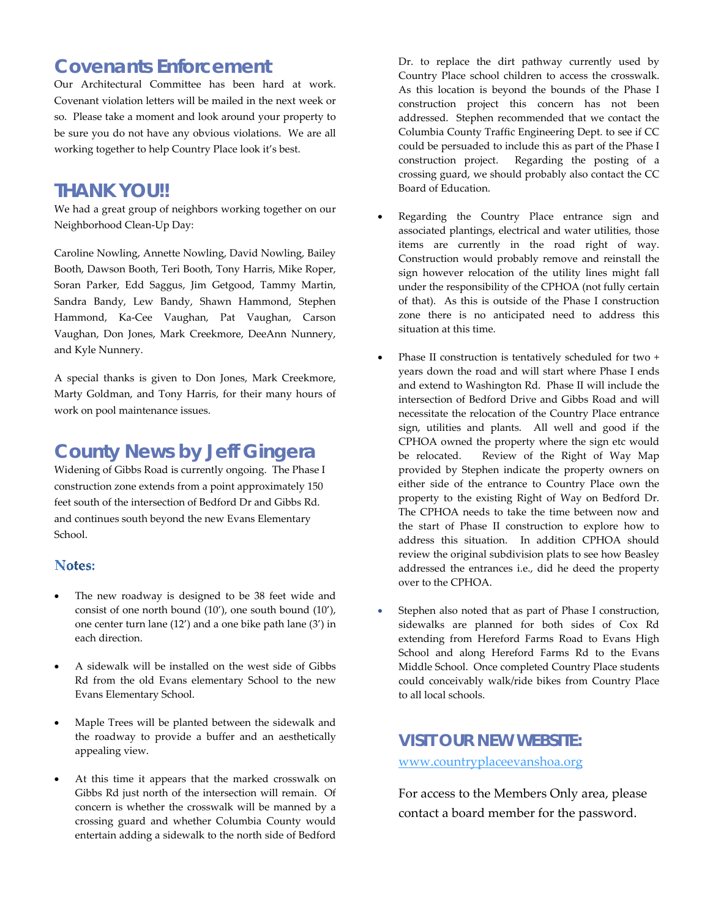# *Covenants Enforcement*

Our Architectural Committee has been hard at work. Covenant violation letters will be mailed in the next week or so. Please take a moment and look around your property to be sure you do not have any obvious violations. We are all working together to help Country Place look it's best.

# *THANK YOU!!*

We had a great group of neighbors working together on our Neighborhood Clean-Up Day:

Caroline Nowling, Annette Nowling, David Nowling, Bailey Booth, Dawson Booth, Teri Booth, Tony Harris, Mike Roper, Soran Parker, Edd Saggus, Jim Getgood, Tammy Martin, Sandra Bandy, Lew Bandy, Shawn Hammond, Stephen Hammond, Ka-Cee Vaughan, Pat Vaughan, Carson Vaughan, Don Jones, Mark Creekmore, DeeAnn Nunnery, and Kyle Nunnery.

A special thanks is given to Don Jones, Mark Creekmore, Marty Goldman, and Tony Harris, for their many hours of work on pool maintenance issues.

# *County News by Jeff Gingera*

Widening of Gibbs Road is currently ongoing. The Phase I construction zone extends from a point approximately 150 feet south of the intersection of Bedford Dr and Gibbs Rd. and continues south beyond the new Evans Elementary School.

### **Notes:**

- The new roadway is designed to be 38 feet wide and consist of one north bound (10'), one south bound (10'), one center turn lane (12') and a one bike path lane (3') in each direction.
- A sidewalk will be installed on the west side of Gibbs Rd from the old Evans elementary School to the new Evans Elementary School.
- Maple Trees will be planted between the sidewalk and the roadway to provide a buffer and an aesthetically appealing view.
- At this time it appears that the marked crosswalk on Gibbs Rd just north of the intersection will remain. Of concern is whether the crosswalk will be manned by a crossing guard and whether Columbia County would entertain adding a sidewalk to the north side of Bedford

Dr. to replace the dirt pathway currently used by Country Place school children to access the crosswalk. As this location is beyond the bounds of the Phase I construction project this concern has not been addressed. Stephen recommended that we contact the Columbia County Traffic Engineering Dept. to see if CC could be persuaded to include this as part of the Phase I construction project. Regarding the posting of a crossing guard, we should probably also contact the CC Board of Education.

- Regarding the Country Place entrance sign and associated plantings, electrical and water utilities, those items are currently in the road right of way. Construction would probably remove and reinstall the sign however relocation of the utility lines might fall under the responsibility of the CPHOA (not fully certain of that). As this is outside of the Phase I construction zone there is no anticipated need to address this situation at this time.
- Phase II construction is tentatively scheduled for two + years down the road and will start where Phase I ends and extend to Washington Rd. Phase II will include the intersection of Bedford Drive and Gibbs Road and will necessitate the relocation of the Country Place entrance sign, utilities and plants. All well and good if the CPHOA owned the property where the sign etc would be relocated. Review of the Right of Way Map provided by Stephen indicate the property owners on either side of the entrance to Country Place own the property to the existing Right of Way on Bedford Dr. The CPHOA needs to take the time between now and the start of Phase II construction to explore how to address this situation. In addition CPHOA should review the original subdivision plats to see how Beasley addressed the entrances i.e., did he deed the property over to the CPHOA.
- Stephen also noted that as part of Phase I construction, sidewalks are planned for both sides of Cox Rd extending from Hereford Farms Road to Evans High School and along Hereford Farms Rd to the Evans Middle School. Once completed Country Place students could conceivably walk/ride bikes from Country Place to all local schools.

# *VISIT OUR NEW WEBSITE:*

### [www.countryplaceevanshoa.org](http://www.countryplaceevanshoa.org/)

For access to the Members Only area, please contact a board member for the password.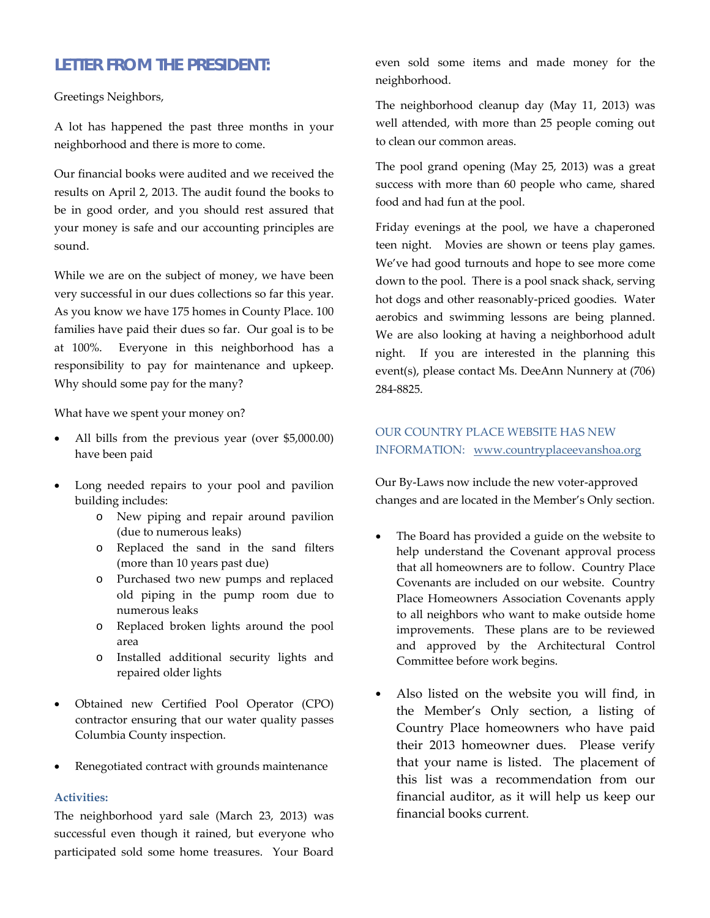## *LETTER FROM THE PRESIDENT:*

Greetings Neighbors,

A lot has happened the past three months in your neighborhood and there is more to come.

Our financial books were audited and we received the results on April 2, 2013. The audit found the books to be in good order, and you should rest assured that your money is safe and our accounting principles are sound.

While we are on the subject of money, we have been very successful in our dues collections so far this year. As you know we have 175 homes in County Place. 100 families have paid their dues so far. Our goal is to be at 100%. Everyone in this neighborhood has a responsibility to pay for maintenance and upkeep. Why should some pay for the many?

What have we spent your money on?

- All bills from the previous year (over \$5,000.00) have been paid
- Long needed repairs to your pool and pavilion building includes:
	- o New piping and repair around pavilion (due to numerous leaks)
	- o Replaced the sand in the sand filters (more than 10 years past due)
	- o Purchased two new pumps and replaced old piping in the pump room due to numerous leaks
	- o Replaced broken lights around the pool area
	- o Installed additional security lights and repaired older lights
- Obtained new Certified Pool Operator (CPO) contractor ensuring that our water quality passes Columbia County inspection.
- Renegotiated contract with grounds maintenance

#### **Activities:**

The neighborhood yard sale (March 23, 2013) was successful even though it rained, but everyone who participated sold some home treasures. Your Board

even sold some items and made money for the neighborhood.

The neighborhood cleanup day (May 11, 2013) was well attended, with more than 25 people coming out to clean our common areas.

The pool grand opening (May 25, 2013) was a great success with more than 60 people who came, shared food and had fun at the pool.

Friday evenings at the pool, we have a chaperoned teen night. Movies are shown or teens play games. We've had good turnouts and hope to see more come down to the pool. There is a pool snack shack, serving hot dogs and other reasonably-priced goodies. Water aerobics and swimming lessons are being planned. We are also looking at having a neighborhood adult night. If you are interested in the planning this event(s), please contact Ms. DeeAnn Nunnery at (706) 284-8825.

### OUR COUNTRY PLACE WEBSITE HAS NEW INFORMATION: www.countryplaceevanshoa.org

Our By-Laws now include the new voter-approved changes and are located in the Member's Only section.

- The Board has provided a guide on the website to help understand the Covenant approval process that all homeowners are to follow. Country Place Covenants are included on our website. Country Place Homeowners Association Covenants apply to all neighbors who want to make outside home improvements. These plans are to be reviewed and approved by the Architectural Control Committee before work begins.
- Also listed on the website you will find, in the Member's Only section, a listing of Country Place homeowners who have paid their 2013 homeowner dues. Please verify that your name is listed. The placement of this list was a recommendation from our financial auditor, as it will help us keep our financial books current.